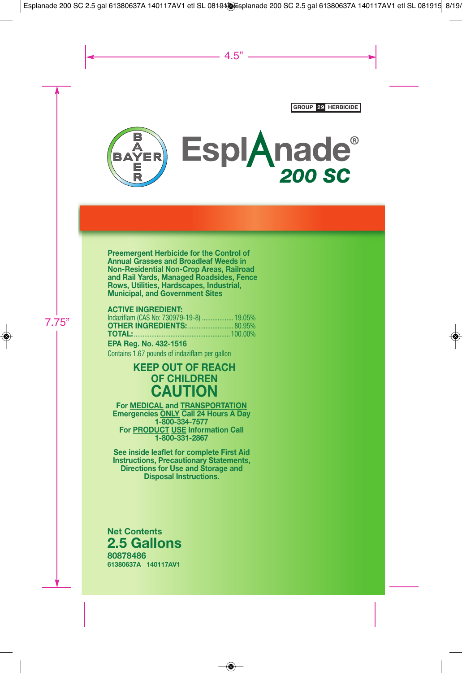

**Preemergent Herbicide for the Control of Annual Grasses and Broadleaf Weeds in Non-Residential Non-Crop Areas, Railroad and Rail Yards, Managed Roadsides, Fence Rows, Utilities, Hardscapes, Industrial, Municipal, and Government Sites**

#### **ACTIVE INGREDIENT:**

| Indaziflam (CAS No: 730979-19-8)  19.05% |  |
|------------------------------------------|--|
| <b>OTHER INGREDIENTS:  80.95%</b>        |  |
|                                          |  |

**EPA Reg. No. 432-1516** Contains 1.67 pounds of indaziflam per gallon

### **KEEP OUT OF REACH OF CHILDREN CAUTION**

**For MEDICAL and TRANSPORTATION Emergencies ONLY Call 24 Hours A Day 1-800-334-7577 For PRODUCT USE Information Call 1-800-331-2867**

**See inside leaflet for complete First Aid Instructions, Precautionary Statements, Directions for Use and Storage and Disposal Instructions.**

**80878486 Net Contents 2.5 Gallons**

**61380637A 140117AV1**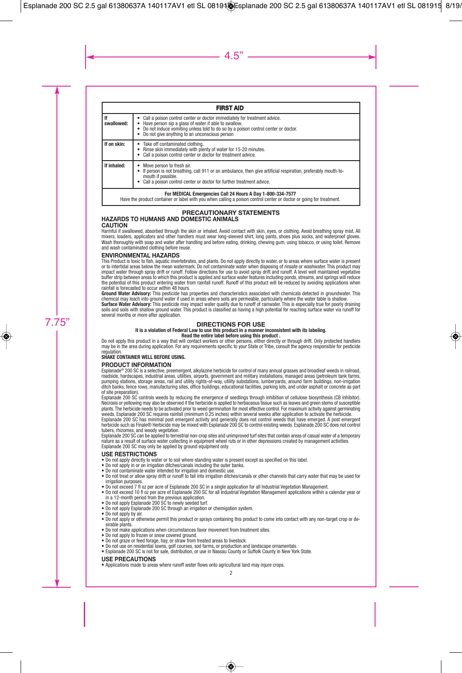| <b>FIRST AID</b>                                           |                                                                                                                                                                                                                                                                            |  |
|------------------------------------------------------------|----------------------------------------------------------------------------------------------------------------------------------------------------------------------------------------------------------------------------------------------------------------------------|--|
| If<br>swallowed:                                           | • Call a poison control center or doctor immediately for treatment advice.<br>Have person sip a glass of water if able to swallow.<br>Do not induce vomiting unless told to do so by a poison control center or doctor.<br>• Do not give anything to an unconscious person |  |
| If on skin:                                                | Take off contaminated clothing.<br>Rinse skin immediately with plenty of water for 15-20 minutes.<br>• Call a poison control center or doctor for treatment advice.                                                                                                        |  |
| If inhaled:                                                | Move person to fresh air.<br>• If person is not breathing, call 911 or an ambulance, then give artificial respiration, preferably mouth-to-<br>mouth if possible.<br>Call a poison control center or doctor for further treatment advice.                                  |  |
| For MEDICAL Emergencies Call 24 Hours A Day 1-800-334-7577 |                                                                                                                                                                                                                                                                            |  |

For MEDICAL Emergencies Call 24 Hours A Day 1-800-334-7577<br>Have the product container or label with you when calling a poison control center or doctor or going for treatment.

#### **PRECAUTIONARY STATEMENTS HAZARDS TO HUMANS AND DOMESTIC ANIMALS CAUTION**

Harmful if swallowed, absorbed through the skin or inhaled. Avoid contact with skin, eyes, or clothing. Avoid breathing spray mist. All mixers, loaders, applicators and other handlers must wear long-sleeved shirt, long pants, shoes plus socks, and waterproof gloves. Wash thoroughly with soap and water after handling and before eating, drinking, chewing gum, using tobacco, or using toilet. Remove and wash contaminated clothing before reuse.

#### **ENVIRONMENTAL HAZARDS**

This Product is toxic to fish, aquatic invertebrates, and plants. Do not apply directly to water, or to areas where surface water is present or to intertidal areas below the mean watermark. Do not contaminate water when disposing of rinsate or washwater. This product may impact water through spray drift or runoff. Follow directions for use to avoid spray drift and runoff. A level well maintained vegetative buffer strip between areas to which this product is applied and surface water features including ponds, streams, and springs will reduce the potential of this product entering water from rainfall runoff. Runoff of this product will be reduced by avoiding applications when rainfall is forecasted to occur within 48 hours.

**Ground Water Advisory:** This pesticide has properties and characteristics associated with chemicals detected in groundwater. This chemical may leach into ground water if used in areas where soils are permeable, particularly where the water table is shallow.

**Surface Water Advisory:** This pesticide may impact water quality due to runoff of rainwater. This is especially true for poorly draining soils and soils with shallow ground water. This product is classified as having a high potential for reaching surface water via runoff for several months or more after application.

#### **DIRECTIONS FOR USE**

**It is a violation of Federal Law to use this product in a manner inconsistent with its labeling.**

#### **Read the entire label before using this product .**

Do not apply this product in a way that will contact workers or other persons, either directly or through drift. Only protected handlers may be in the area during application. For any requirements specific to your State or Tribe, consult the agency responsible for pesticide regulation

#### **SHAKE CONTAINER WELL BEFORE USING.**

#### **PRODUCT INFORMATION**

Esplanade® 200 SC is a selective, preemergent, alkylazine herbicide for control of many annual grasses and broadleaf weeds in railroad, roadside, hardscapes, industrial areas, utilities, airports, government and military installations, managed areas (petroleum tank farms, pumping stations, storage areas, rail and utility rights-of-way, utility substations, lumberyards, around farm buildings, non-irrigation ditch banks, fence rows, manufacturing sites, office buildings, educational facilities, parking lots, and under asphalt or concrete as part of site preparation).

Esplanade 200 SC controls weeds by reducing the emergence of seedlings through inhibition of cellulose biosynthesis (CB Inhibitor). Necrosis or yellowing may also be observed if the herbicide is applied to herbaceous tissue such as leaves and green stems of susceptible plants. The herbicide needs to be activated prior to weed germination for most effective control. For maximum activity against germinating<br>weeds, Esplanade 200 SC requires rainfall (minimum 0.25 inches) within several week

Esplanade 200 SC has minimal post emergent activity and generally does not control weeds that have emerged. A post emergent herbicide such as Finale® Herbicide may be mixed with Esplanade 200 SC to control existing weeds. Esplanade 200 SC does not control tubers, rhizomes, and woody vegetation.

Esplanade 200 SC can be applied to terrestrial non-crop sites and unimproved turf sites that contain areas of casual water of a temporary nature as a result of surface water collecting in equipment wheel ruts or in other depressions created by management activities. Esplanade 200 SC may only be applied by ground equipment only.

#### **USE RESTRICTIONS**

- Do not apply directly to water or to soil where standing water is present except as specified on this label.
- Do not apply in or on irrigation ditches/canals including the outer banks.
- Do not contaminate water intended for irrigation and domestic use.
- Do not treat or allow spray drift or runoff to fall into irrigation ditches/canals or other channels that carry water that may be used for irrigation purposes.
- Do not exceed 7 fl oz per acre of Esplanade 200 SC in a single application for all Industrial Vegetation Management.
- Do not exceed 10 fl oz per acre of Esplanade 200 SC for all Industrial Vegetation Management applications within a calendar year or in a 12-month period from the previous application.
- Do not apply Esplanade 200 SC to newly seeded turf.
- Do not apply Esplanade 200 SC through an irrigation or chemigation system.
- Do not apply by air.
- Do not apply or otherwise permit this product or sprays containing this product to come into contact with any non-target crop or desirable plants.
- Do not make applications when circumstances favor movement from treatment sites.
- Do not apply to frozen or snow covered ground.
- Do not graze or feed forage, hay, or straw from treated areas to livestock.
- Do not use on residential lawns, golf courses, sod farms, or production and landscape ornamentals.
- Esplanade 200 SC is not for sale, distribution, or use in Nassau County or Suffolk County in New York State.

#### **USE PRECAUTIONS**

• Applications made to areas where runoff water flows onto agricultural land may injure crops.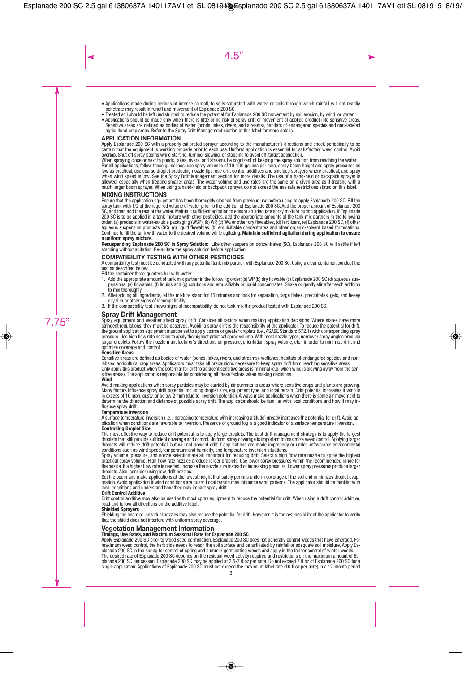- Applications made during periods of intense rainfall, to soils saturated with water, or soils through which rainfall will not readily penetrate may result in runoff and movement of Esplanade 200 SC.
- Treated soil should be left undisturbed to reduce the potential for Esplanade 200 SC movement by soil erosion, by wind, or water.
- Applications should be made only when there is little or no risk of spray drift or movement of applied product into sensitive areas. Sensitive areas are defined as bodies of water (ponds, lakes, rivers, and streams), habitats of endangered species and non-labeled agricultural crop areas. Refer to the Spray Drift Management section of this label for more details.

#### **APPLICATION INFORMATION**

Apply Esplanade 200 SC with a properly calibrated sprayer according to the manufacturer's directions and check periodically to be certain that the equipment is working properly prior to each use. Uniform application is essential for satisfactory weed control. Avoid overlap. Shut off spray booms while starting, turning, slowing, or stopping to avoid off-target application.

When spraying close or next to ponds, lakes, rivers, and streams be cognizant of keeping the spray solution from reaching the water. For all applications, follow these guidelines: use spray volumes of 10-100 gallons per acre, spray boom height and spray pressures as low as practical, use coarse droplet producing nozzle tips, use drift control additives and shielded sprayers where practical, and spray when wind speed is low. See the Spray Drift Management section for more details. The use of a hand-held or backpack sprayer is allowed, especially when treating smaller areas. The water volume and use rates are the same on a given area as if treating with a much larger boom sprayer. When using a hand-held or backpack sprayer, do not exceed the use rate restrictions stated on this label.

#### **MIXING INSTRUCTIONS**

Ensure that the application equipment has been thoroughly cleaned from previous use before using to apply Esplanade 200 SC. Fill the spray tank with 1/2 of the required volume of water prior to the addition of Esplanade 200 SC. Add the proper amount of Esplanade 200 SC, and then add the rest of the water. Maintain sufficient agitation to ensure an adequate spray mixture during application. If Esplanade 200 SC is to be applied in a tank mixture with other pesticides, add the appropriate amounts of the tank mix partners in the following order: (a) products in water-soluble packaging (WSP), (b) WP, (c) WG or other dry flowables, (d) fertilizers, (e) Esplanade 200 SC, (f) other aqueous suspension products (SC), (g) liquid flowables, (h) emulsifiable concentrates and other organic-solvent based formulations. Continue to fill the tank with water to the desired volume while agitating. **Maintain sufficient agitation during application to ensure a uniform spray mixture.**

**Resuspending Esplanade 200 SC in Spray Solution:** Like other suspension concentrates (SC), Esplanade 200 SC will settle if left standing without agitation. Re-agitate the spray solution before application.

#### **COMPATIBILITY TESTING WITH OTHER PESTICIDES**

A compatibility test must be conducted with any potential tank mix partner with Esplanade 200 SC. Using a clear container, conduct the test as described below:

Fill the container three-quarters full with water.

- 1. Add the appropriate amount of tank mix partner in the following order: (a) WP (b) dry flowable (c) Esplanade 200 SC (d) aqueous suspensions, (e) flowables, (f) liquids and (g) solutions and emulsifiable or liquid concentrates. Shake or gently stir after each addition to mix thoroughly.
- 2. After adding all ingredients, let the mixture stand for 15 minutes and look for separation, large flakes, precipitates, gels, and heavy oily film or other signs of incompatibility.
- 3. If the compatibility test shows signs of incompatibility, do not tank mix the product tested with Esplanade 200 SC.

#### **Spray Drift Management**

Spray equipment and weather affect spray drift. Consider all factors when making application decisions. Where states have more stringent regulations, they must be observed. Avoiding spray drift is the responsibility of the applicator. To reduce the potential for drift, the ground application equipment must be set to apply coarse or greater droplets (i.e., ASABE Standard 572.1) with corresponding spray pressure. Use high flow rate nozzles to apply the highest practical spray volume.With most nozzle types, narrower spray angles produce larger droplets. Follow the nozzle manufacturer's directions on pressure, orientation, spray volume, etc., in order to minimize drift and optimize coverage and control.

#### **Sensitive Areas**

Sensitive areas are defined as bodies of water (ponds, lakes, rivers, and streams), wetlands, habitats of endangered species and nonlabeled agricultural crop areas. Applicators must take all precautions necessary to keep spray drift from reaching sensitive areas. Only apply this product when the potential for drift to adjacent sensitive areas is minimal (e.g. when wind is blowing away from the sensitive areas). The applicator is responsible for considering all these factors when making decisions.

#### **Wind**

Avoid making applications when spray particles may be carried by air currents to areas where sensitive crops and plants are growing. Many factors influence spray drift potential including droplet size, equipment type, and local terrain. Drift potential increases if wind is in excess of 10 mph, gusty, or below 2 mph (due to inversion potential). Always make applications when there is some air movement to determine the direction and distance of possible spray drift. The applicator should be familiar with local conditions and how it may influence spray drift.

#### **Temperature Inversion**

A surface temperature inversion (i.e., increasing temperature with increasing altitude) greatly increases the potential for drift. Avoid application when conditions are favorable to inversion. Presence of ground fog is a good indicator of a surface temperature inversion.

#### **Controlling Droplet Size**

The most effective way to reduce drift potential is to apply large droplets. The best drift management strategy is to apply the largest droplets that still provide sufficient coverage and control. Uniform spray coverage is important to maximize weed control. Applying larger droplets will reduce drift potential, but will not prevent drift if applications are made improperly or under unfavorable environmental conditions such as wind speed, temperature and humidity, and temperature inversion situations.

Spray volume, pressure, and nozzle selection are all important for reducing drift. Select a high flow rate nozzle to apply the highest practical spray volume. High flow rate nozzles produce larger droplets. Use lower spray pressures within the recommended range for the nozzle. If a higher flow rate is needed, increase the nozzle size instead of increasing pressure. Lower spray pressures produce larger droplets. Also, consider using low-drift nozzles.

Set the boom and make applications at the lowest height that safely permits uniform coverage of the soil and minimizes droplet evaporation. Avoid application if wind conditions are gusty. Local terrain may influence wind patterns. The applicator should be familiar with local conditions and understand how they may impact spray drift.

#### **Drift Control Additive**

Drift control additive may also be used with most spray equipment to reduce the potential for drift. When using a drift control additive, read and follow all directions on the additive label.

#### **Shielded Sprayers**

Shielding the boom or individual nozzles may also reduce the potential for drift. However, it is the responsibility of the applicator to verify that the shield does not interfere with uniform spray coverage.

#### **Vegetation Management Information**

#### **Timings, Use Rates, and Maximum Seasonal Rate for Esplanade 200 SC**

Apply Esplanade 200 SC prior to weed seed germination. Esplanade 200 SC does not generally control weeds that have emerged. For maximum weed control, the herbicide needs to reach the soil surface and be activated by rainfall or adequate soil moisture. Apply Esplanade 200 SC in the spring for control of spring and summer germinating weeds and apply in the fall for control of winter weeds. The desired rate of Esplanade 200 SC depends on the residual weed activity required and restrictions on the maximum amount of Esplanade 200 SC per season. Esplanade 200 SC may be applied at 3.5-7 fl oz per acre. Do not exceed 7 fl oz of Esplanade 200 SC for a single application. Applications of Esplanade 200 SC must not exceed the maximum label rate (10 fl oz per acre) in a 12-month period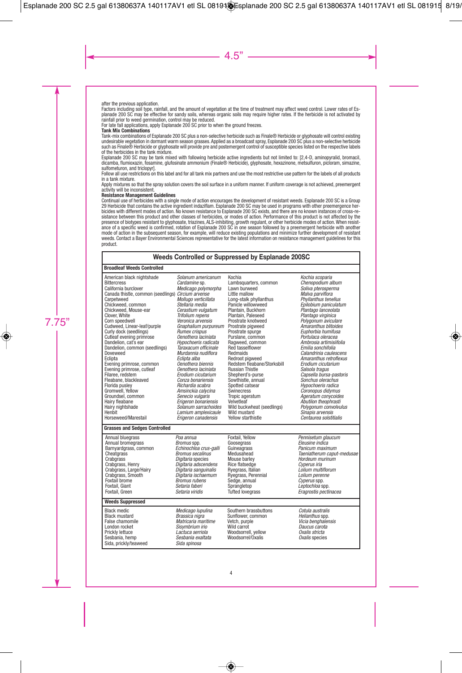#### after the previous application.

Factors including soil type, rainfall, and the amount of vegetation at the time of treatment may affect weed control. Lower rates of Esplanade 200 SC may be effective for sandy soils, whereas organic soils may require higher rates. If the herbicide is not activated by rainfall prior to weed germination, control may be reduced.

For late fall applications, apply Esplanade 200 SC prior to when the ground freezes.

#### **Tank Mix Combinations**

Tank-mix combinations of Esplanade 200 SC plus a non-selective herbicide such as Finale® Herbicide or glyphosate will control existing undesirable vegetation in dormant warm season grasses. Applied as a broadcast spray, Esplanade 200 SC plus a non-selective herbicide such as Finale® Herbicide or glyphosate will provide pre and postemergent control of susceptible species listed on the respective labels of the herbicides in the tank mixture.

Esplanade 200 SC may be tank mixed with following herbicide active ingredients but not limited to: [2,4-D, aminopyralid, bromacil, dicamba, flumioxazin, fosamine, glufosinate ammonium (Finale® Herbicide), glyphosate, hexazinone, metsulfuron, picloram, simazine, sulfometuron, and triclopyr].

Follow all use restrictions on this label and for all tank mix partners and use the most restrictive use pattern for the labels of all products in a tank mixture.

Apply mixtures so that the spray solution covers the soil surface in a uniform manner. If uniform coverage is not achieved, preemergent activity will be inconsistent.

#### **Resistance Management Guidelines**

Continual use of herbicides with a single mode of action encourages the development of resistant weeds. Esplanade 200 SC is a Group 29 Herbicide that contains the active ingredient indaziflam. Esplanade 200 SC may be used in programs with other preemergence herbicides with different modes of action. No known resistance to Esplanade 200 SC exists, and there are no known instances of cross-resistance between this product and other classes of herbicides, or modes of action. Performance of this product is not affected by the presence of biotypes resistant to glyphosate, triazines, ALS-inhibiting, growth regulant, or other herbicide modes of action. When resist-<br>ance of a specific weed is confirmed, rotation of Esplanade 200 SC in one season fo mode of action in the subsequent season, for example, will reduce existing populations and minimize further development of resistant weeds. Contact a Bayer Environmental Sciences representative for the latest information on resistance management guidelines for this product.

#### **Weeds Controlled or Suppressed by Esplanade 200SC**

#### **Broadleaf Weeds Controlled**

| American black nightshade<br><b>Bittercress</b><br>California burclover<br>Canada thistle, common (seedlings) Circium arvense<br>Carpetweed<br>Chickweed, common<br>Chickweed, Mouse-ear<br>Clover, White<br>Corn speedwell<br>Cudweed, Linear-leaf/purple<br>Curly dock (seedlings)<br>Cutleaf evening primrose<br>Dandelion, cat's ear<br>Dandelion, common (seedlings)<br>Doveweed<br>Eclipta<br>Evening primrose, common<br>Evening primrose, cutleaf<br>Filaree, redstem<br>Fleabane, blackleaved<br>Florida pusley<br>Gromwell, Yellow<br>Groundsel, common<br>Hairy fleabane<br>Hairy nightshade<br>Henbit | Solanum americanum<br>Cardamine sp.<br>Medicago polymorpha<br>Mollugo verticillata<br>Stellaria media<br>Cerastium vulgatum<br>Trifolium repens<br>Veronica arvensis<br>Gnaphalium purpureum<br><b>Rumex crispus</b><br>Oenothera laciniata<br>Hypochoeris radicata<br>Taraxacum officinale<br>Murdannia nudiflora<br>Eclipta alba<br>Oenothera biennis<br>Oenothera laciniata<br>Erodium cicutarium<br>Conza bonariensis<br>Richardia scabra<br>Amsinckia calycina<br>Senecio vulgaris<br>Erigeron bonariensis<br>Solanum sarrachoides<br>Lamium amplexicaule | Kochia<br>Lambsquarters, common<br>Lawn burweed<br>Little mallow<br>Long-stalk phyllanthus<br>Panicle willowweed<br>Plantain, Buckhorn<br>Plantain, Paleseed<br>Prostrate knotweed<br>Prostrate pigweed<br>Prostrate spurge<br>Purslane, common<br>Ragweed, common<br><b>Red tasselflower</b><br>Redmaids<br>Redroot piaweed<br>Redstem fleabane/Storksbill<br><b>Russian Thistle</b><br>Shepherd's-purse<br>Sowthistle, annual<br>Spotted catsear<br>Swinecress<br>Tropic ageratum<br>Velvetleaf<br>Wild buckwheat (seedlings)<br>Wild mustard | Kochia scoparia<br>Chenopodium album<br>Soliva pterosperma<br>Malva parviflora<br>Phyllanthus tenellus<br>Epilobium paniculatum<br>Plantago lanceolata<br>Plantago virginica<br>Polygonum aviculare<br>Amaranthus blitoides<br>Euphorbia humifusa<br>Portulaca oleracea<br>Ambrosia artimisiifolia<br>Emilia sonchifolia<br>Calandrinia caulescens<br>Amaranthus retroflexus<br>Erodium cicutarium<br>Salsola tragus<br>Capsella bursa-pastoris<br>Sonchus olerachus<br>Hypochoeris radica<br>Coronopus didymus<br>Ageratum conycoides<br>Abutilon theophrasti<br>Polygonum convolvulus<br>Sinapis arvensis |
|-------------------------------------------------------------------------------------------------------------------------------------------------------------------------------------------------------------------------------------------------------------------------------------------------------------------------------------------------------------------------------------------------------------------------------------------------------------------------------------------------------------------------------------------------------------------------------------------------------------------|----------------------------------------------------------------------------------------------------------------------------------------------------------------------------------------------------------------------------------------------------------------------------------------------------------------------------------------------------------------------------------------------------------------------------------------------------------------------------------------------------------------------------------------------------------------|-------------------------------------------------------------------------------------------------------------------------------------------------------------------------------------------------------------------------------------------------------------------------------------------------------------------------------------------------------------------------------------------------------------------------------------------------------------------------------------------------------------------------------------------------|-------------------------------------------------------------------------------------------------------------------------------------------------------------------------------------------------------------------------------------------------------------------------------------------------------------------------------------------------------------------------------------------------------------------------------------------------------------------------------------------------------------------------------------------------------------------------------------------------------------|
| Horseweed/Marestail<br><b>Grasses and Sedges Controlled</b>                                                                                                                                                                                                                                                                                                                                                                                                                                                                                                                                                       | Erigeron canadensis                                                                                                                                                                                                                                                                                                                                                                                                                                                                                                                                            | Yellow starthistle                                                                                                                                                                                                                                                                                                                                                                                                                                                                                                                              | Centaurea solstitialis                                                                                                                                                                                                                                                                                                                                                                                                                                                                                                                                                                                      |
|                                                                                                                                                                                                                                                                                                                                                                                                                                                                                                                                                                                                                   |                                                                                                                                                                                                                                                                                                                                                                                                                                                                                                                                                                |                                                                                                                                                                                                                                                                                                                                                                                                                                                                                                                                                 |                                                                                                                                                                                                                                                                                                                                                                                                                                                                                                                                                                                                             |
| Annual bluegrass<br>Annual bromegrass<br>Barnyardgrass, common<br>Cheatgrass<br>Crabarass<br>Crabgrass, Henry<br>Crabgrass, Large/Hairy<br>Crabgrass, Smooth<br>Foxtail brome<br>Foxtail, Giant<br>Foxtail, Green                                                                                                                                                                                                                                                                                                                                                                                                 | Poa annua<br>Bromus spp.<br>Echinochioa crus-galli<br><b>Bromus secalinus</b><br>Digitaria species<br>Digitaria adscendens<br>Digitaria sanguinalis<br>Digitaria ischaemum<br><b>Bromus rubens</b><br>Setaria faberi<br>Setaria viridis                                                                                                                                                                                                                                                                                                                        | Foxtail, Yellow<br>Goosegrass<br>Guineagrass<br>Medusahead<br>Mouse barley<br>Rice flatsedge<br>Ryegrass, Italian<br>Ryegrass, Perennial<br>Sedge, annual<br>Sprangletop<br><b>Tufted lovegrass</b>                                                                                                                                                                                                                                                                                                                                             | Pennisetum glaucum<br>Eleusine indica<br>Panicum maximum<br>Taeniatherum caput-medusae<br>Hordeum murinum<br>Cyperus iria<br>Lolium multiflorum<br>Lolium perenne<br>Cyperus spp.<br>Leptochloa spp.<br>Eragrostis pectinacea                                                                                                                                                                                                                                                                                                                                                                               |
| <b>Weeds Suppressed</b>                                                                                                                                                                                                                                                                                                                                                                                                                                                                                                                                                                                           |                                                                                                                                                                                                                                                                                                                                                                                                                                                                                                                                                                |                                                                                                                                                                                                                                                                                                                                                                                                                                                                                                                                                 |                                                                                                                                                                                                                                                                                                                                                                                                                                                                                                                                                                                                             |
| <b>Black medic</b><br><b>Black mustard</b><br>False chamomile<br>London rocket<br>Prickly lettuce<br>Sesbania, hemp<br>Sida, prickly/teaweed                                                                                                                                                                                                                                                                                                                                                                                                                                                                      | Medicago lupulina<br>Brassica nigra<br>Matricaria maritime<br>Sisymbrium irio<br>Lactuca serriola<br>Sesbania exaltata<br>Sida spinosa                                                                                                                                                                                                                                                                                                                                                                                                                         | Southern brassbuttons<br>Sunflower. common<br>Vetch, purple<br>Wild carrot<br>Woodsorrell, vellow<br>Woodsorrel/Oxalis                                                                                                                                                                                                                                                                                                                                                                                                                          | Cotula australis<br>Helianthus spp.<br>Vicia benghalensis<br>Daucus carota<br>Oxalis stricta<br>Oxalis species                                                                                                                                                                                                                                                                                                                                                                                                                                                                                              |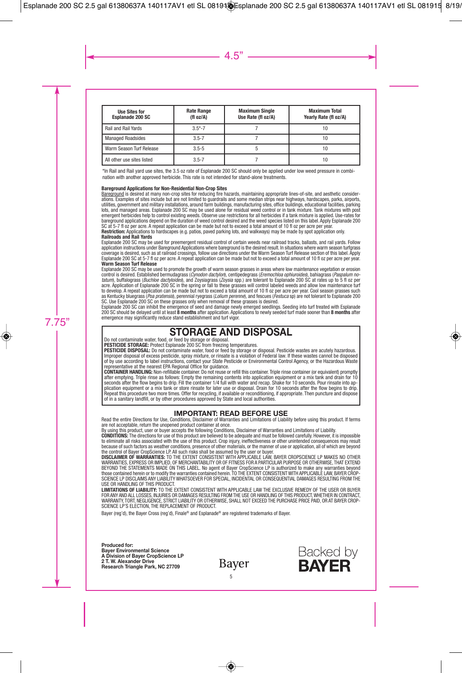| <b>Use Sites for</b><br><b>Esplanade 200 SC</b> | <b>Rate Range</b><br>(f1 oz/A) | <b>Maximum Single</b><br>Use Rate (fl oz/A) | <b>Maximum Total</b><br>Yearly Rate (fl oz/A) |
|-------------------------------------------------|--------------------------------|---------------------------------------------|-----------------------------------------------|
| Rail and Rail Yards                             | $3.5 - 7$                      |                                             | 10                                            |
| <b>Managed Roadsides</b>                        | $3.5 - 7$                      |                                             | 10                                            |
| Warm Season Turf Release                        | $3.5 - 5$                      |                                             | 10                                            |
| All other use sites listed                      | $3.5 - 7$                      |                                             | 10                                            |

\*In Rail and Rail yard use sites, the 3.5 oz rate of Esplanade 200 SC should only be applied under low weed pressure in combination with another approved herbicide. This rate is not intended for stand-alone treatments.

#### **Bareground Applications for Non-Residential Non-Crop Sites**

Bareground is desired at many non-crop sites for reducing fire hazards, maintaining appropriate lines-of-site, and aesthetic considerations. Examples of sites include but are not limited to guardrails and some median strips near highways, hardscapes, parks, airports, utilities, government and military installations, around farm buildings, manufacturing sites, office buildings, educational facilities, parking lots, and managed areas. Esplanade 200 SC may be used alone for residual weed control or in tank mixture. Tank mixtures with post emergent herbicides help to control existing weeds. Observe use restrictions for all herbicides if a tank mixture is applied. Use-rates for bareground applications depend on the duration of weed control desired and the weed species listed on this label. Apply Esplanade 200 SC at 5-7 fl oz per acre. A repeat application can be made but not to exceed a total amount of 10 fl oz per acre per year. **Restriction:** Applications to hardscapes (e.g. patios, paved parking lots, and walkways) may be made by spot application only.

#### **Railroads and Rail Yards**

Esplanade 200 SC may be used for preemergent residual control of certain weeds near railroad tracks, ballasts, and rail yards. Follow application instructions under Bareground Applications where bareground is the desired result. In situations where warm season turfgrass coverage is desired, such as at railroad crossings, follow use directions under the Warm Season Turf Release section of this label. Apply Esplanade 200 SC at 5-7 fl oz per acre. A repeat application can be made but not to exceed a total amount of 10 fl oz per acre per year. **Warm Season Turf Release**

Esplanade 200 SC may be used to promote the growth of warm season grasses in areas where low maintenance vegetation or erosion control is desired. Established bermudagrass (*Cynodon dactylon*), centipedegrass (*Eremochloa ophiuroides*), bahiagrass (*Paspalum no-*<br>*tatum*), buffalograss (*Buchloe dactyloides*), and Zoysiagrass (Zoys*ia* spp.) are t acre. Application of Esplanade 200 SC in the spring or fall to these grasses will control labeled weeds and allow low maintenance turf to develop. A repeat application can be made but not to exceed a total amount of 10 fl oz per acre per year. Cool season grasses such as Kentucky bluegrass (*Poa pratensis*), perennial ryegrass (*Lolium perenne*), and fescues (*Festuca* sp) are not tolerant to Esplanade 200 SC. Use Esplanade 200 SC on these grasses only when removal of these grasses is desired.

Esplanade 200 SC can inhibit the emergence of seed and damage newly emerged seedlings. Seeding into turf treated with Esplanade 200 SC should be delayed until at least **8 months** after application. Applications to newly seeded turf made sooner than **8 months** after emergence may significantly reduce stand establishment and turf vigor.

# **STORAGE AND DISPOSAL** Do not contaminate water, food, or feed by storage or disposal.

**PESTICIDE STORAGE:** Protect Esplanade 200 SC from freezing temperatures.

**PESTICIDE DISPOSAL:** Do not contaminate water, food or feed by storage or disposal. Pesticide wastes are acutely hazardous. Improper disposal of excess pesticide, spray mixture, or rinsate is a violation of Federal law. If these wastes cannot be disposed of by use according to label instructions, contact your State Pesticide or Environmental Control Agency, or the Hazardous Waste representative at the nearest EPA Regional Office for guidance.

**CONTAINER HANDLING:** Non-refillable container. Do not reuse or refill this container. Triple rinse container (or equivalent) promptly after emptying. Triple rinse as follows: Empty the remaining contents into application equipment or a mix tank and drain for 10 seconds after the flow begins to drip. Fill the container 1/4 full with water and recap. Shake for 10 seconds. Pour rinsate into application equipment or a mix tank or store rinsate for later use or disposal. Drain for 10 seconds after the flow begins to drip. Repeat this procedure two more times. Offer for recycling, if available or reconditioning, if appropriate. Then puncture and dispose of in a sanitary landfill, or by other procedures approved by State and local authorities.

**IMPORTANT: READ BEFORE USE**<br>Read the entire Directions for Use, Conditions, Disclaimer of Warranties and Limitations of Liability before using this product. If terms are not acceptable, return the unopened product container at once.

By using this product, user or buyer accepts the following Conditions, Disclaimer of Warranties and Limitations of Liability.

**CONDITIONS:** The directions for use of this product are believed to be adequate and must be followed carefully. However, it is impossible to eliminate all risks associated with the use of this product. Crop injury, ineffectiveness or other unintended consequences may result because of such factors as weather conditions, presence of other materials, or the manner of use or application, all of which are beyond the control of Bayer CropScience LP. All such risks shall be assumed by the user or buyer.

**DISCLAIMER OF WARRANTIES:** TO THE EXTENT CONSISTENT WITH APPLICABLE LAW, BAYER CROPSCIENCE LP MAKES NO OTHER WARRANTIES, EXPRESS OR IMPLIED, OF MERCHANTABILITY OR OF FITNESS FOR A PARTICULAR PURPOSE OR OTHERWISE, THAT EXTEND BEYOND THE STATEMENTS MADE ON THIS LABEL. No agent of Bayer CropScience LP is authorized to make any warranties beyond those contained herein or to modify the warranties contained herein. TO THE EXTENT CONSISTENT WITH APPLICABLE LAW, BAYER CROP-SCIENCE LP DISCLAIMS ANY LIABILITY WHATSOEVER FOR SPECIAL, INCIDENTAL OR CONSEQUENTIAL DAMAGES RESULTING FROM THE USE OR HANDLING OF THIS PRODUCT

**LIMITATIONS OF LIABILITY:** TO THE EXTENT CONSISTENT WITH APPLICABLE LAW THE EXCLUSIVE REMEDY OF THE USER OR BUYER FOR ANY AND ALL LOSSES, INJURIES OR DAMAGES RESULTING FROM THE USE OR HANDLING OF THIS PRODUCT,WHETHER IN CONTRACT, WARRANTY, TORT, NEGLIGENCE, STRICT LIABILITY OR OTHERWISE, SHALL NOT EXCEED THE PURCHASE PRICE PAID, OR AT BAYER CROP-SCIENCE LP'S ELECTION, THE REPLACEMENT OF PRODUCT.

Bayer (reg'd), the Bayer Cross (reg'd), Finale® and Esplanade® are registered trademarks of Bayer.

**Produced for: Bayer Environmental Science A Division of Bayer CropScience LP 2 T. W. Alexander Drive Research Triangle Park, NC 27709**